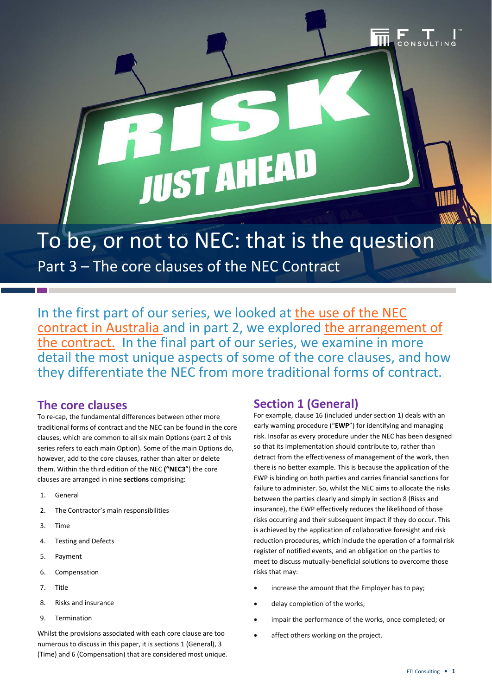To be, or not to NEC: that is the question

JUST AHEA

Part 3 – The core clauses of the NEC Contract

In the first part of our series, we looked at [the use of the NEC](http://ftiinsights.com/to-be-or-not-to-nec-that-is-the-question/)  [contract in Australia](http://ftiinsights.com/to-be-or-not-to-nec-that-is-the-question/) and in part 2, we explored [the arrangement of](http://ftiinsights.com/part-2-to-be-or-not-to-nec/)  [the contract.](http://ftiinsights.com/part-2-to-be-or-not-to-nec/) In the final part of our series, we examine in more detail the most unique aspects of some of the core clauses, and how they differentiate the NEC from more traditional forms of contract.

#### **The core clauses**

To re-cap, the fundamental differences between other more traditional forms of contract and the NEC can be found in the core clauses, which are common to all six main Options (part 2 of this series refers to each main Option). Some of the main Options do, however, add to the core clauses, rather than alter or delete them. Within the third edition of the NEC **("NEC3**") the core clauses are arranged in nine **sections** comprising:

- 1. General
- 2. The Contractor's main responsibilities
- 3. Time
- 4. Testing and Defects
- 5. Payment
- 6. Compensation
- 7. Title
- 8. Risks and insurance
- 9. Termination

Whilst the provisions associated with each core clause are too numerous to discuss in this paper, it is sections 1 (General), 3 (Time) and 6 (Compensation) that are considered most unique.

# **Section 1 (General)**

For example, clause 16 (included under section 1) deals with an early warning procedure ("**EWP**") for identifying and managing risk. Insofar as every procedure under the NEC has been designed so that its implementation should contribute to, rather than detract from the effectiveness of management of the work, then there is no better example. This is because the application of the EWP is binding on both parties and carries financial sanctions for failure to administer. So, whilst the NEC aims to allocate the risks between the parties clearly and simply in section 8 (Risks and insurance), the EWP effectively reduces the likelihood of those risks occurring and their subsequent impact if they do occur. This is achieved by the application of collaborative foresight and risk reduction procedures, which include the operation of a formal risk register of notified events, and an obligation on the parties to meet to discuss mutually-beneficial solutions to overcome those risks that may:

- increase the amount that the Employer has to pay;
- delay completion of the works;
- impair the performance of the works, once completed; or
- affect others working on the project.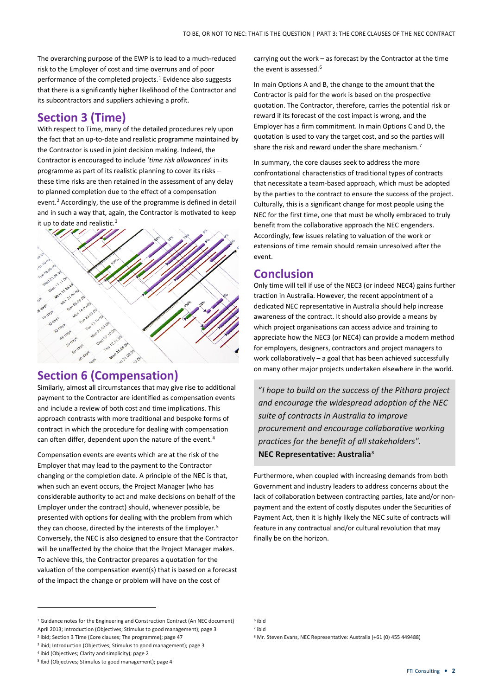The overarching purpose of the EWP is to lead to a much-reduced risk to the Employer of cost and time overruns and of poor performance of the completed projects. $1$  Evidence also suggests that there is a significantly higher likelihood of the Contractor and its subcontractors and suppliers achieving a profit.

# **Section 3 (Time)**

With respect to Time, many of the detailed procedures rely upon the fact that an up-to-date and realistic programme maintained by the Contractor is used in joint decision making. Indeed, the Contractor is encouraged to include '*time risk allowances*' in its programme as part of its realistic planning to cover its risks – these time risks are then retained in the assessment of any delay to planned completion due to the effect of a compensation event.<sup>[2](#page-1-1)</sup> Accordingly, the use of the programme is defined in detail and in such a way that, again, the Contractor is motivated to keep it up to date and realistic.<sup>[3](#page-1-2)</sup>



## **Section 6 (Compensation)**

Similarly, almost all circumstances that may give rise to additional payment to the Contractor are identified as compensation events and include a review of both cost and time implications. This approach contrasts with more traditional and bespoke forms of contract in which the procedure for dealing with compensation can often differ, dependent upon the nature of the event.<sup>[4](#page-1-3)</sup>

Compensation events are events which are at the risk of the Employer that may lead to the payment to the Contractor changing or the completion date. A principle of the NEC is that, when such an event occurs, the Project Manager (who has considerable authority to act and make decisions on behalf of the Employer under the contract) should, whenever possible, be presented with options for dealing with the problem from which they can choose, directed by the interests of the Employer.<sup>[5](#page-1-4)</sup> Conversely, the NEC is also designed to ensure that the Contractor will be unaffected by the choice that the Project Manager makes. To achieve this, the Contractor prepares a quotation for the valuation of the compensation event(s) that is based on a forecast of the impact the change or problem will have on the cost of

carrying out the work – as forecast by the Contractor at the time the event is assessed.<sup>[6](#page-1-0)</sup>

In main Options A and B, the change to the amount that the Contractor is paid for the work is based on the prospective quotation. The Contractor, therefore, carries the potential risk or reward if its forecast of the cost impact is wrong, and the Employer has a firm commitment. In main Options C and D, the quotation is used to vary the target cost, and so the parties will share the risk and reward under the share mechanism.[7](#page-1-5)

In summary, the core clauses seek to address the more confrontational characteristics of traditional types of contracts that necessitate a team-based approach, which must be adopted by the parties to the contract to ensure the success of the project. Culturally, this is a significant change for most people using the NEC for the first time, one that must be wholly embraced to truly benefit from the collaborative approach the NEC engenders. Accordingly, few issues relating to valuation of the work or extensions of time remain should remain unresolved after the event.

## **Conclusion**

Only time will tell if use of the NEC3 (or indeed NEC4) gains further traction in Australia. However, the recent appointment of a dedicated NEC representative in Australia should help increase awareness of the contract. It should also provide a means by which project organisations can access advice and training to appreciate how the NEC3 (or NEC4) can provide a modern method for employers, designers, contractors and project managers to work collaboratively – a goal that has been achieved successfully on many other major projects undertaken elsewhere in the world.

"*I hope to build on the success of the Pithara project and encourage the widespread adoption of the NEC suite of contracts in Australia to improve procurement and encourage collaborative working practices for the benefit of all stakeholders".* **NEC Representative: Australia**[8](#page-1-1)

Furthermore, when coupled with increasing demands from both Government and industry leaders to address concerns about the lack of collaboration between contracting parties, late and/or nonpayment and the extent of costly disputes under the Securities of Payment Act, then it is highly likely the NEC suite of contracts will feature in any contractual and/or cultural revolution that may finally be on the horizon.

 $\overline{a}$ 

<span id="page-1-5"></span><span id="page-1-0"></span><sup>&</sup>lt;sup>1</sup> Guidance notes for the Engineering and Construction Contract (An NEC document) April 2013; Introduction (Objectives; Stimulus to good management); page 3

<span id="page-1-1"></span><sup>2</sup> ibid; Section 3 Time (Core clauses; The programme); page 47

<span id="page-1-2"></span><sup>3</sup> ibid; Introduction (Objectives; Stimulus to good management); page 3

<span id="page-1-3"></span><sup>4</sup> ibid (Objectives; Clarity and simplicity); page 2

<span id="page-1-4"></span><sup>5</sup> Ibid (Objectives; Stimulus to good management); page 4

<sup>8</sup> Mr. Steven Evans, NEC Representative: Australia (+61 (0) 455 449488)